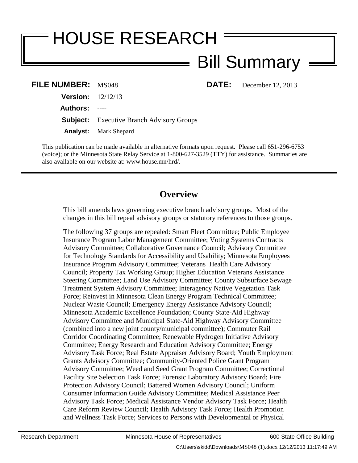# HOUSE RESEARCH Bill Summary

**DATE:** December 12, 2013

| <b>FILE NUMBER: MS048</b>  |                                                  |
|----------------------------|--------------------------------------------------|
| <b>Version:</b> $12/12/13$ |                                                  |
| Authors: ----              |                                                  |
|                            | <b>Subject:</b> Executive Branch Advisory Groups |
|                            | <b>Analyst:</b> Mark Shepard                     |

This publication can be made available in alternative formats upon request. Please call 651-296-6753 (voice); or the Minnesota State Relay Service at 1-800-627-3529 (TTY) for assistance. Summaries are also available on our website at: www.house.mn/hrd/.

# **Overview**

This bill amends laws governing executive branch advisory groups. Most of the changes in this bill repeal advisory groups or statutory references to those groups.

The following 37 groups are repealed: Smart Fleet Committee; Public Employee Insurance Program Labor Management Committee; Voting Systems Contracts Advisory Committee; Collaborative Governance Council; Advisory Committee for Technology Standards for Accessibility and Usability; Minnesota Employees Insurance Program Advisory Committee; Veterans Health Care Advisory Council; Property Tax Working Group; Higher Education Veterans Assistance Steering Committee; Land Use Advisory Committee; County Subsurface Sewage Treatment System Advisory Committee; Interagency Native Vegetation Task Force; Reinvest in Minnesota Clean Energy Program Technical Committee; Nuclear Waste Council; Emergency Energy Assistance Advisory Council; Minnesota Academic Excellence Foundation; County State-Aid Highway Advisory Committee and Municipal State-Aid Highway Advisory Committee (combined into a new joint county/municipal committee); Commuter Rail Corridor Coordinating Committee; Renewable Hydrogen Initiative Advisory Committee; Energy Research and Education Advisory Committee; Energy Advisory Task Force; Real Estate Appraiser Advisory Board; Youth Employment Grants Advisory Committee; Community-Oriented Police Grant Program Advisory Committee; Weed and Seed Grant Program Committee; Correctional Facility Site Selection Task Force; Forensic Laboratory Advisory Board; Fire Protection Advisory Council; Battered Women Advisory Council; Uniform Consumer Information Guide Advisory Committee; Medical Assistance Peer Advisory Task Force; Medical Assistance Vendor Advisory Task Force; Health Care Reform Review Council; Health Advisory Task Force; Health Promotion and Wellness Task Force; Services to Persons with Developmental or Physical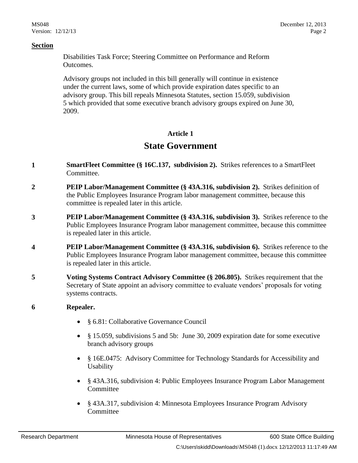Disabilities Task Force; Steering Committee on Performance and Reform Outcomes.

Advisory groups not included in this bill generally will continue in existence under the current laws, some of which provide expiration dates specific to an advisory group. This bill repeals Minnesota Statutes, section 15.059, subdivision 5 which provided that some executive branch advisory groups expired on June 30, 2009.

#### **Article 1**

## **State Government**

- **1 SmartFleet Committee (§ 16C.137, subdivision 2).** Strikes references to a SmartFleet Committee.
- **2 PEIP Labor/Management Committee (§ 43A.316, subdivision 2).** Strikes definition of the Public Employees Insurance Program labor management committee, because this committee is repealed later in this article.
- **3 PEIP Labor/Management Committee (§ 43A.316, subdivision 3).** Strikes reference to the Public Employees Insurance Program labor management committee, because this committee is repealed later in this article.
- **4 PEIP Labor/Management Committee (§ 43A.316, subdivision 6).** Strikes reference to the Public Employees Insurance Program labor management committee, because this committee is repealed later in this article.
- **5 Voting Systems Contract Advisory Committee (§ 206.805).** Strikes requirement that the Secretary of State appoint an advisory committee to evaluate vendors' proposals for voting systems contracts.

#### **6 Repealer.**

- § 6.81: Collaborative Governance Council
- § 15.059, subdivisions 5 and 5b: June 30, 2009 expiration date for some executive branch advisory groups
- § 16E.0475: Advisory Committee for Technology Standards for Accessibility and Usability
- § 43A.316, subdivision 4: Public Employees Insurance Program Labor Management Committee
- § 43A.317, subdivision 4: Minnesota Employees Insurance Program Advisory Committee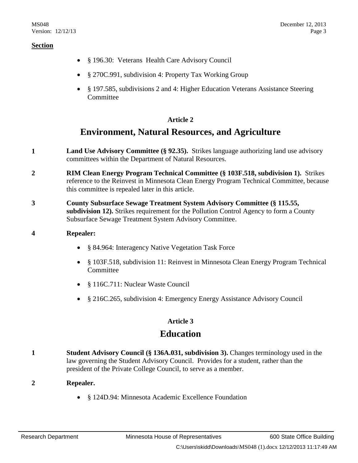- § 196.30: Veterans Health Care Advisory Council
- § 270C.991, subdivision 4: Property Tax Working Group
- § 197.585, subdivisions 2 and 4: Higher Education Veterans Assistance Steering Committee

#### **Article 2**

## **Environment, Natural Resources, and Agriculture**

- **1 Land Use Advisory Committee (§ 92.35).** Strikes language authorizing land use advisory committees within the Department of Natural Resources.
- **2 RIM Clean Energy Program Technical Committee (§ 103F.518, subdivision 1).** Strikes reference to the Reinvest in Minnesota Clean Energy Program Technical Committee, because this committee is repealed later in this article.
- **3 County Subsurface Sewage Treatment System Advisory Committee (§ 115.55, subdivision 12).** Strikes requirement for the Pollution Control Agency to form a County Subsurface Sewage Treatment System Advisory Committee.

#### **4 Repealer:**

- § 84.964: Interagency Native Vegetation Task Force
- § 103F.518, subdivision 11: Reinvest in Minnesota Clean Energy Program Technical Committee
- § 116C.711: Nuclear Waste Council
- § 216C.265, subdivision 4: Emergency Energy Assistance Advisory Council

#### **Article 3**

## **Education**

**1 Student Advisory Council (§ 136A.031, subdivision 3).** Changes terminology used in the law governing the Student Advisory Council. Provides for a student, rather than the president of the Private College Council, to serve as a member.

#### **2 Repealer.**

§ 124D.94: Minnesota Academic Excellence Foundation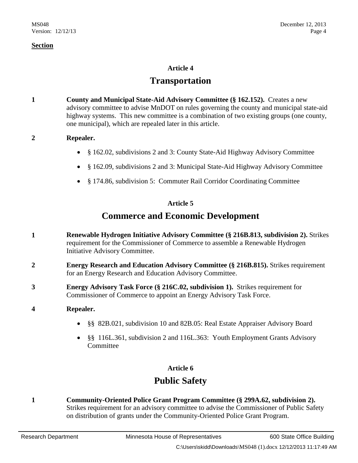#### **Article 4**

## **Transportation**

**1 County and Municipal State-Aid Advisory Committee (§ 162.152).** Creates a new advisory committee to advise MnDOT on rules governing the county and municipal state-aid highway systems. This new committee is a combination of two existing groups (one county, one municipal), which are repealed later in this article.

#### **2 Repealer.**

- § 162.02, subdivisions 2 and 3: County State-Aid Highway Advisory Committee
- § 162.09, subdivisions 2 and 3: Municipal State-Aid Highway Advisory Committee
- § 174.86, subdivision 5: Commuter Rail Corridor Coordinating Committee

#### **Article 5**

# **Commerce and Economic Development**

- **1 Renewable Hydrogen Initiative Advisory Committee (§ 216B.813, subdivision 2).** Strikes requirement for the Commissioner of Commerce to assemble a Renewable Hydrogen Initiative Advisory Committee.
- **2 Energy Research and Education Advisory Committee (§ 216B.815).** Strikes requirement for an Energy Research and Education Advisory Committee.
- **3 Energy Advisory Task Force (§ 216C.02, subdivision 1).** Strikes requirement for Commissioner of Commerce to appoint an Energy Advisory Task Force.

#### **4 Repealer.**

- §§ 82B.021, subdivision 10 and 82B.05: Real Estate Appraiser Advisory Board
- §§ 116L.361, subdivision 2 and 116L.363: Youth Employment Grants Advisory **Committee**

#### **Article 6**

# **Public Safety**

**1 Community-Oriented Police Grant Program Committee (§ 299A.62, subdivision 2).** Strikes requirement for an advisory committee to advise the Commissioner of Public Safety on distribution of grants under the Community-Oriented Police Grant Program.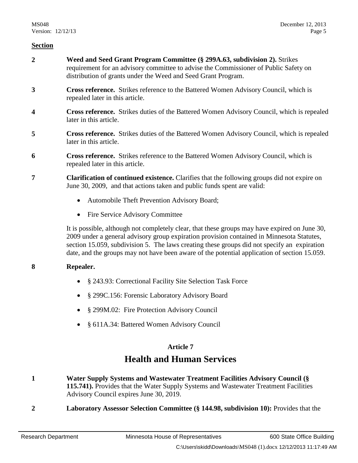- **2 Weed and Seed Grant Program Committee (§ 299A.63, subdivision 2).** Strikes requirement for an advisory committee to advise the Commissioner of Public Safety on distribution of grants under the Weed and Seed Grant Program.
- **3 Cross reference.** Strikes reference to the Battered Women Advisory Council, which is repealed later in this article.
- **4 Cross reference.** Strikes duties of the Battered Women Advisory Council, which is repealed later in this article.
- **5 Cross reference.** Strikes duties of the Battered Women Advisory Council, which is repealed later in this article.
- **6 Cross reference.** Strikes reference to the Battered Women Advisory Council, which is repealed later in this article.
- **7 Clarification of continued existence.** Clarifies that the following groups did not expire on June 30, 2009, and that actions taken and public funds spent are valid:
	- Automobile Theft Prevention Advisory Board;
	- Fire Service Advisory Committee

It is possible, although not completely clear, that these groups may have expired on June 30, 2009 under a general advisory group expiration provision contained in Minnesota Statutes, section 15.059, subdivision 5. The laws creating these groups did not specify an expiration date, and the groups may not have been aware of the potential application of section 15.059.

#### **8 Repealer.**

- § 243.93: Correctional Facility Site Selection Task Force
- § 299C.156: Forensic Laboratory Advisory Board
- § 299M.02: Fire Protection Advisory Council
- § 611A.34: Battered Women Advisory Council

#### **Article 7**

# **Health and Human Services**

- **1 Water Supply Systems and Wastewater Treatment Facilities Advisory Council (§ 115.741).** Provides that the Water Supply Systems and Wastewater Treatment Facilities Advisory Council expires June 30, 2019.
- **2 Laboratory Assessor Selection Committee (§ 144.98, subdivision 10):** Provides that the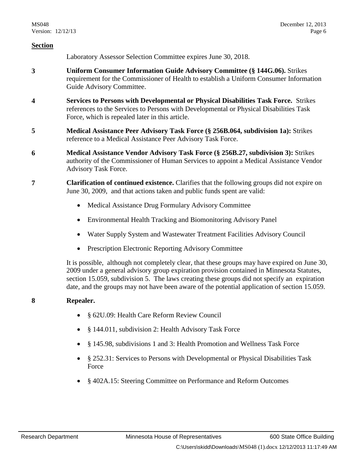Laboratory Assessor Selection Committee expires June 30, 2018.

- **3 Uniform Consumer Information Guide Advisory Committee (§ 144G.06).** Strikes requirement for the Commissioner of Health to establish a Uniform Consumer Information Guide Advisory Committee.
- **4 Services to Persons with Developmental or Physical Disabilities Task Force.** Strikes references to the Services to Persons with Developmental or Physical Disabilities Task Force, which is repealed later in this article.
- **5 Medical Assistance Peer Advisory Task Force (§ 256B.064, subdivision 1a):** Strikes reference to a Medical Assistance Peer Advisory Task Force.
- **6 Medical Assistance Vendor Advisory Task Force (§ 256B.27, subdivision 3):** Strikes authority of the Commissioner of Human Services to appoint a Medical Assistance Vendor Advisory Task Force.
- **7 Clarification of continued existence.** Clarifies that the following groups did not expire on June 30, 2009, and that actions taken and public funds spent are valid:
	- Medical Assistance Drug Formulary Advisory Committee
	- Environmental Health Tracking and Biomonitoring Advisory Panel
	- Water Supply System and Wastewater Treatment Facilities Advisory Council
	- Prescription Electronic Reporting Advisory Committee

It is possible, although not completely clear, that these groups may have expired on June 30, 2009 under a general advisory group expiration provision contained in Minnesota Statutes, section 15.059, subdivision 5. The laws creating these groups did not specify an expiration date, and the groups may not have been aware of the potential application of section 15.059.

#### **8 Repealer.**

- § 62U.09: Health Care Reform Review Council
- § 144.011, subdivision 2: Health Advisory Task Force
- § 145.98, subdivisions 1 and 3: Health Promotion and Wellness Task Force
- § 252.31: Services to Persons with Developmental or Physical Disabilities Task Force
- § 402A.15: Steering Committee on Performance and Reform Outcomes